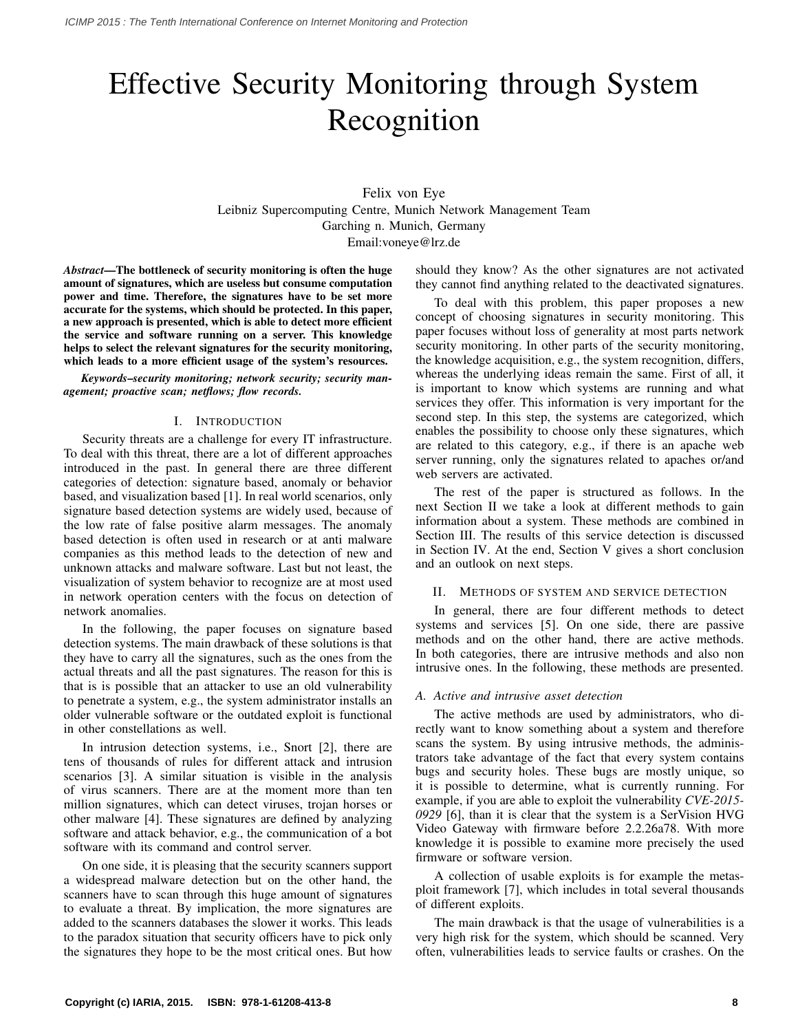# Effective Security Monitoring through System Recognition

Felix von Eye Leibniz Supercomputing Centre, Munich Network Management Team Garching n. Munich, Germany Email:voneye@lrz.de

*Abstract*—The bottleneck of security monitoring is often the huge amount of signatures, which are useless but consume computation power and time. Therefore, the signatures have to be set more accurate for the systems, which should be protected. In this paper, a new approach is presented, which is able to detect more efficient the service and software running on a server. This knowledge helps to select the relevant signatures for the security monitoring, which leads to a more efficient usage of the system's resources.

*Keywords*–*security monitoring; network security; security management; proactive scan; netflows; flow records.*

# I. INTRODUCTION

Security threats are a challenge for every IT infrastructure. To deal with this threat, there are a lot of different approaches introduced in the past. In general there are three different categories of detection: signature based, anomaly or behavior based, and visualization based [1]. In real world scenarios, only signature based detection systems are widely used, because of the low rate of false positive alarm messages. The anomaly based detection is often used in research or at anti malware companies as this method leads to the detection of new and unknown attacks and malware software. Last but not least, the visualization of system behavior to recognize are at most used in network operation centers with the focus on detection of network anomalies.

In the following, the paper focuses on signature based detection systems. The main drawback of these solutions is that they have to carry all the signatures, such as the ones from the actual threats and all the past signatures. The reason for this is that is is possible that an attacker to use an old vulnerability to penetrate a system, e.g., the system administrator installs an older vulnerable software or the outdated exploit is functional in other constellations as well.

In intrusion detection systems, i.e., Snort [2], there are tens of thousands of rules for different attack and intrusion scenarios [3]. A similar situation is visible in the analysis of virus scanners. There are at the moment more than ten million signatures, which can detect viruses, trojan horses or other malware [4]. These signatures are defined by analyzing software and attack behavior, e.g., the communication of a bot software with its command and control server.

On one side, it is pleasing that the security scanners support a widespread malware detection but on the other hand, the scanners have to scan through this huge amount of signatures to evaluate a threat. By implication, the more signatures are added to the scanners databases the slower it works. This leads to the paradox situation that security officers have to pick only the signatures they hope to be the most critical ones. But how

should they know? As the other signatures are not activated they cannot find anything related to the deactivated signatures.

To deal with this problem, this paper proposes a new concept of choosing signatures in security monitoring. This paper focuses without loss of generality at most parts network security monitoring. In other parts of the security monitoring, the knowledge acquisition, e.g., the system recognition, differs, whereas the underlying ideas remain the same. First of all, it is important to know which systems are running and what services they offer. This information is very important for the second step. In this step, the systems are categorized, which enables the possibility to choose only these signatures, which are related to this category, e.g., if there is an apache web server running, only the signatures related to apaches or/and web servers are activated.

The rest of the paper is structured as follows. In the next Section II we take a look at different methods to gain information about a system. These methods are combined in Section III. The results of this service detection is discussed in Section IV. At the end, Section V gives a short conclusion and an outlook on next steps.

#### II. METHODS OF SYSTEM AND SERVICE DETECTION

In general, there are four different methods to detect systems and services [5]. On one side, there are passive methods and on the other hand, there are active methods. In both categories, there are intrusive methods and also non intrusive ones. In the following, these methods are presented.

#### *A. Active and intrusive asset detection*

The active methods are used by administrators, who directly want to know something about a system and therefore scans the system. By using intrusive methods, the administrators take advantage of the fact that every system contains bugs and security holes. These bugs are mostly unique, so it is possible to determine, what is currently running. For example, if you are able to exploit the vulnerability *CVE-2015- 0929* [6], than it is clear that the system is a SerVision HVG Video Gateway with firmware before 2.2.26a78. With more knowledge it is possible to examine more precisely the used firmware or software version.

A collection of usable exploits is for example the metasploit framework [7], which includes in total several thousands of different exploits.

The main drawback is that the usage of vulnerabilities is a very high risk for the system, which should be scanned. Very often, vulnerabilities leads to service faults or crashes. On the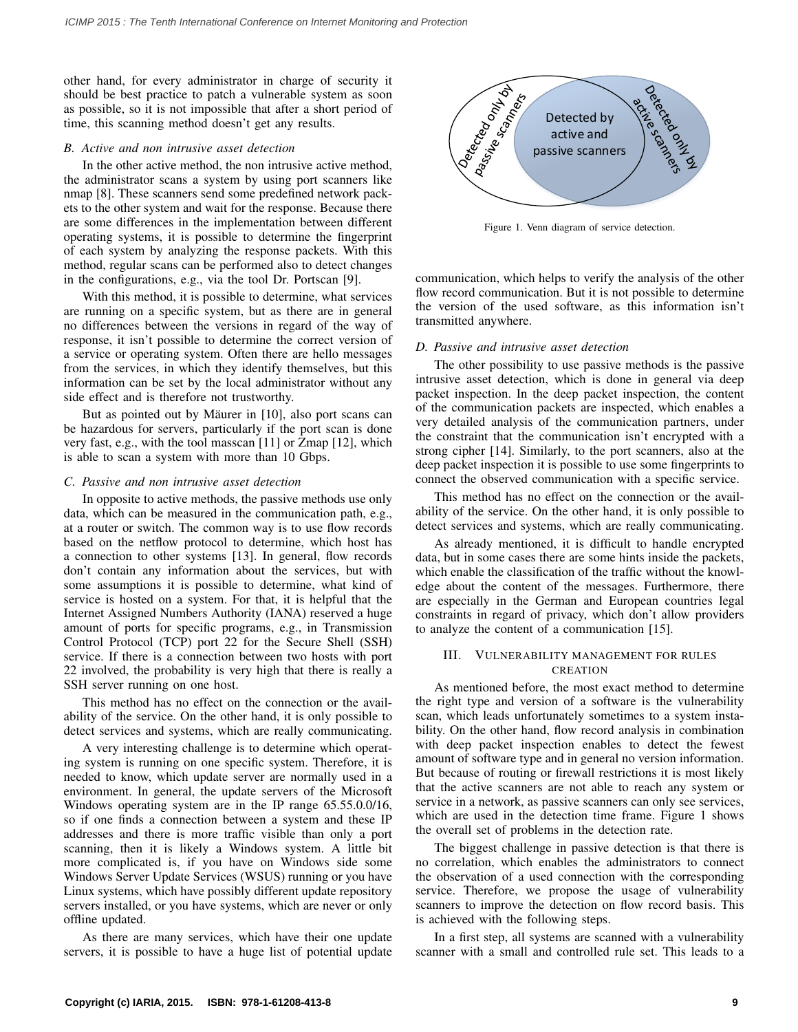other hand, for every administrator in charge of security it should be best practice to patch a vulnerable system as soon as possible, so it is not impossible that after a short period of time, this scanning method doesn't get any results.

# *B. Active and non intrusive asset detection*

In the other active method, the non intrusive active method, the administrator scans a system by using port scanners like nmap [8]. These scanners send some predefined network packets to the other system and wait for the response. Because there are some differences in the implementation between different operating systems, it is possible to determine the fingerprint of each system by analyzing the response packets. With this method, regular scans can be performed also to detect changes in the configurations, e.g., via the tool Dr. Portscan [9].

With this method, it is possible to determine, what services are running on a specific system, but as there are in general no differences between the versions in regard of the way of response, it isn't possible to determine the correct version of a service or operating system. Often there are hello messages from the services, in which they identify themselves, but this information can be set by the local administrator without any side effect and is therefore not trustworthy.

But as pointed out by Mäurer in [10], also port scans can be hazardous for servers, particularly if the port scan is done very fast, e.g., with the tool masscan [11] or Zmap [12], which is able to scan a system with more than 10 Gbps.

#### *C. Passive and non intrusive asset detection*

In opposite to active methods, the passive methods use only data, which can be measured in the communication path, e.g., at a router or switch. The common way is to use flow records based on the netflow protocol to determine, which host has a connection to other systems [13]. In general, flow records don't contain any information about the services, but with some assumptions it is possible to determine, what kind of service is hosted on a system. For that, it is helpful that the Internet Assigned Numbers Authority (IANA) reserved a huge amount of ports for specific programs, e.g., in Transmission Control Protocol (TCP) port 22 for the Secure Shell (SSH) service. If there is a connection between two hosts with port 22 involved, the probability is very high that there is really a SSH server running on one host.

This method has no effect on the connection or the availability of the service. On the other hand, it is only possible to detect services and systems, which are really communicating.

A very interesting challenge is to determine which operating system is running on one specific system. Therefore, it is needed to know, which update server are normally used in a environment. In general, the update servers of the Microsoft Windows operating system are in the IP range 65.55.0.0/16, so if one finds a connection between a system and these IP addresses and there is more traffic visible than only a port scanning, then it is likely a Windows system. A little bit more complicated is, if you have on Windows side some Windows Server Update Services (WSUS) running or you have Linux systems, which have possibly different update repository servers installed, or you have systems, which are never or only offline updated.

As there are many services, which have their one update servers, it is possible to have a huge list of potential update



Figure 1. Venn diagram of service detection.

communication, which helps to verify the analysis of the other flow record communication. But it is not possible to determine the version of the used software, as this information isn't transmitted anywhere.

#### *D. Passive and intrusive asset detection*

The other possibility to use passive methods is the passive intrusive asset detection, which is done in general via deep packet inspection. In the deep packet inspection, the content of the communication packets are inspected, which enables a very detailed analysis of the communication partners, under the constraint that the communication isn't encrypted with a strong cipher [14]. Similarly, to the port scanners, also at the deep packet inspection it is possible to use some fingerprints to connect the observed communication with a specific service.

This method has no effect on the connection or the availability of the service. On the other hand, it is only possible to detect services and systems, which are really communicating.

As already mentioned, it is difficult to handle encrypted data, but in some cases there are some hints inside the packets, which enable the classification of the traffic without the knowledge about the content of the messages. Furthermore, there are especially in the German and European countries legal constraints in regard of privacy, which don't allow providers to analyze the content of a communication [15].

# III. VULNERABILITY MANAGEMENT FOR RULES CREATION

As mentioned before, the most exact method to determine the right type and version of a software is the vulnerability scan, which leads unfortunately sometimes to a system instability. On the other hand, flow record analysis in combination with deep packet inspection enables to detect the fewest amount of software type and in general no version information. But because of routing or firewall restrictions it is most likely that the active scanners are not able to reach any system or service in a network, as passive scanners can only see services, which are used in the detection time frame. Figure 1 shows the overall set of problems in the detection rate.

The biggest challenge in passive detection is that there is no correlation, which enables the administrators to connect the observation of a used connection with the corresponding service. Therefore, we propose the usage of vulnerability scanners to improve the detection on flow record basis. This is achieved with the following steps.

In a first step, all systems are scanned with a vulnerability scanner with a small and controlled rule set. This leads to a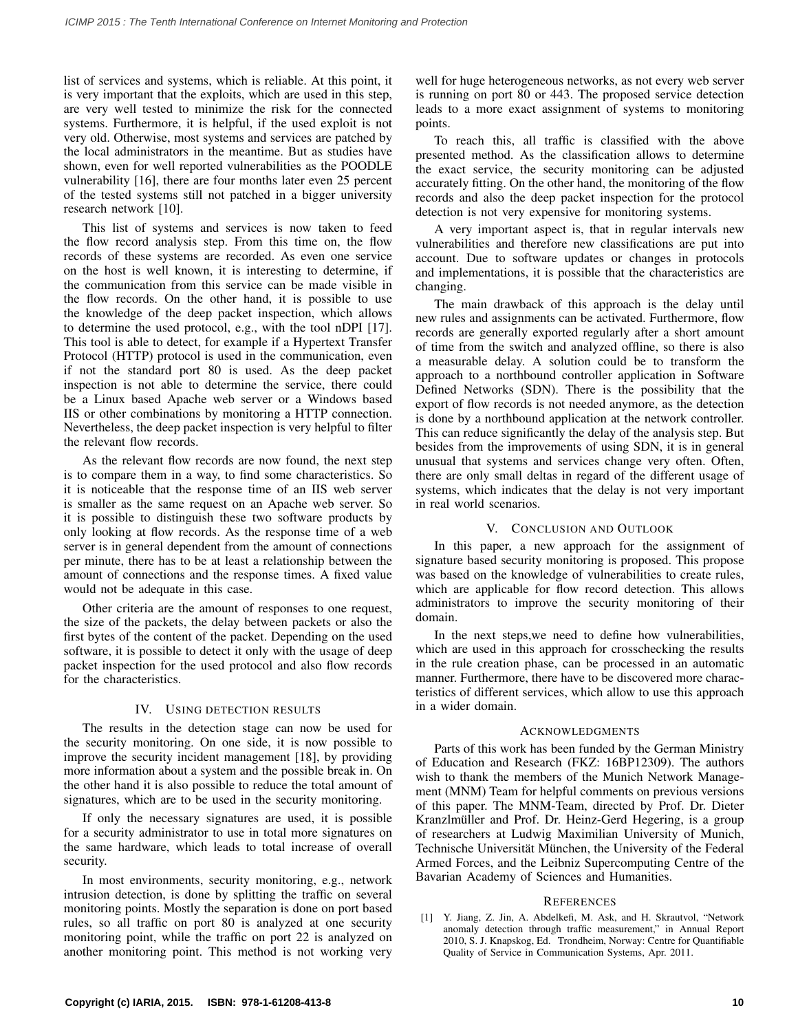list of services and systems, which is reliable. At this point, it is very important that the exploits, which are used in this step, are very well tested to minimize the risk for the connected systems. Furthermore, it is helpful, if the used exploit is not very old. Otherwise, most systems and services are patched by the local administrators in the meantime. But as studies have shown, even for well reported vulnerabilities as the POODLE vulnerability [16], there are four months later even 25 percent of the tested systems still not patched in a bigger university research network [10].

This list of systems and services is now taken to feed the flow record analysis step. From this time on, the flow records of these systems are recorded. As even one service on the host is well known, it is interesting to determine, if the communication from this service can be made visible in the flow records. On the other hand, it is possible to use the knowledge of the deep packet inspection, which allows to determine the used protocol, e.g., with the tool nDPI [17]. This tool is able to detect, for example if a Hypertext Transfer Protocol (HTTP) protocol is used in the communication, even if not the standard port 80 is used. As the deep packet inspection is not able to determine the service, there could be a Linux based Apache web server or a Windows based IIS or other combinations by monitoring a HTTP connection. Nevertheless, the deep packet inspection is very helpful to filter the relevant flow records.

As the relevant flow records are now found, the next step is to compare them in a way, to find some characteristics. So it is noticeable that the response time of an IIS web server is smaller as the same request on an Apache web server. So it is possible to distinguish these two software products by only looking at flow records. As the response time of a web server is in general dependent from the amount of connections per minute, there has to be at least a relationship between the amount of connections and the response times. A fixed value would not be adequate in this case.

Other criteria are the amount of responses to one request, the size of the packets, the delay between packets or also the first bytes of the content of the packet. Depending on the used software, it is possible to detect it only with the usage of deep packet inspection for the used protocol and also flow records for the characteristics.

# IV. USING DETECTION RESULTS

The results in the detection stage can now be used for the security monitoring. On one side, it is now possible to improve the security incident management [18], by providing more information about a system and the possible break in. On the other hand it is also possible to reduce the total amount of signatures, which are to be used in the security monitoring.

If only the necessary signatures are used, it is possible for a security administrator to use in total more signatures on the same hardware, which leads to total increase of overall security.

In most environments, security monitoring, e.g., network intrusion detection, is done by splitting the traffic on several monitoring points. Mostly the separation is done on port based rules, so all traffic on port 80 is analyzed at one security monitoring point, while the traffic on port 22 is analyzed on another monitoring point. This method is not working very

well for huge heterogeneous networks, as not every web server is running on port 80 or 443. The proposed service detection leads to a more exact assignment of systems to monitoring points.

To reach this, all traffic is classified with the above presented method. As the classification allows to determine the exact service, the security monitoring can be adjusted accurately fitting. On the other hand, the monitoring of the flow records and also the deep packet inspection for the protocol detection is not very expensive for monitoring systems.

A very important aspect is, that in regular intervals new vulnerabilities and therefore new classifications are put into account. Due to software updates or changes in protocols and implementations, it is possible that the characteristics are changing.

The main drawback of this approach is the delay until new rules and assignments can be activated. Furthermore, flow records are generally exported regularly after a short amount of time from the switch and analyzed offline, so there is also a measurable delay. A solution could be to transform the approach to a northbound controller application in Software Defined Networks (SDN). There is the possibility that the export of flow records is not needed anymore, as the detection is done by a northbound application at the network controller. This can reduce significantly the delay of the analysis step. But besides from the improvements of using SDN, it is in general unusual that systems and services change very often. Often, there are only small deltas in regard of the different usage of systems, which indicates that the delay is not very important in real world scenarios.

# V. CONCLUSION AND OUTLOOK

In this paper, a new approach for the assignment of signature based security monitoring is proposed. This propose was based on the knowledge of vulnerabilities to create rules, which are applicable for flow record detection. This allows administrators to improve the security monitoring of their domain.

In the next steps,we need to define how vulnerabilities, which are used in this approach for crosschecking the results in the rule creation phase, can be processed in an automatic manner. Furthermore, there have to be discovered more characteristics of different services, which allow to use this approach in a wider domain.

## ACKNOWLEDGMENTS

Parts of this work has been funded by the German Ministry of Education and Research (FKZ: 16BP12309). The authors wish to thank the members of the Munich Network Management (MNM) Team for helpful comments on previous versions of this paper. The MNM-Team, directed by Prof. Dr. Dieter Kranzlmüller and Prof. Dr. Heinz-Gerd Hegering, is a group of researchers at Ludwig Maximilian University of Munich, Technische Universität München, the University of the Federal Armed Forces, and the Leibniz Supercomputing Centre of the Bavarian Academy of Sciences and Humanities.

## **REFERENCES**

[1] Y. Jiang, Z. Jin, A. Abdelkefi, M. Ask, and H. Skrautvol, "Network anomaly detection through traffic measurement," in Annual Report 2010, S. J. Knapskog, Ed. Trondheim, Norway: Centre for Quantifiable Quality of Service in Communication Systems, Apr. 2011.